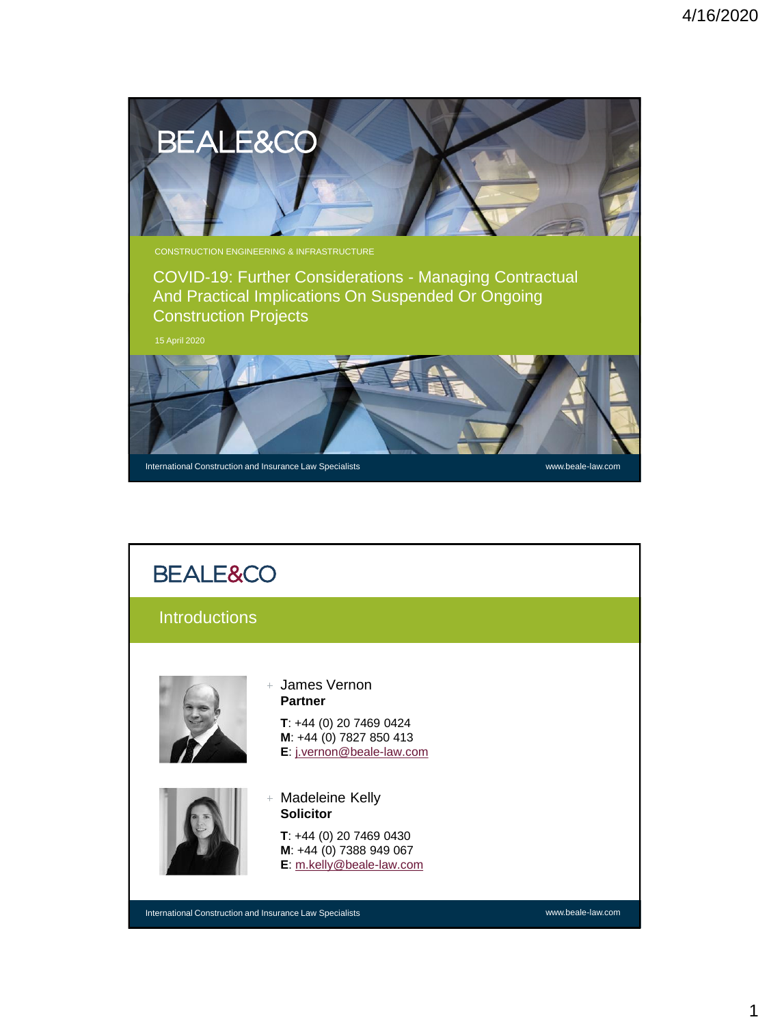

## **BEALE&CO Introductions** James Vernon **Partner T**: +44 (0) 20 7469 0424 **M**: +44 (0) 7827 850 413 **E**: [j.vernon@beale-law.com](mailto:j.vernon@beale-law.com) Madeleine Kelly **Solicitor T**: +44 (0) 20 7469 0430 **M**: +44 (0) 7388 949 067 **E**: [m.kelly@beale-law.com](mailto:m.kelly@beale-law.com)2 International Construction and Insurance Law Specialists www.beale-law.com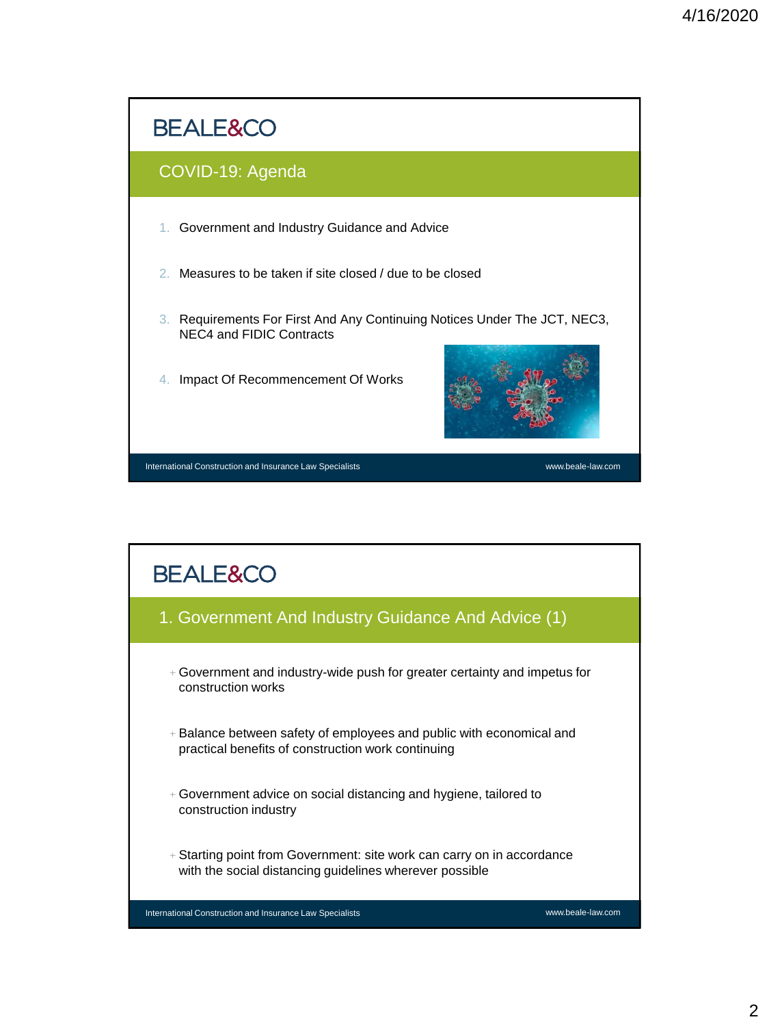

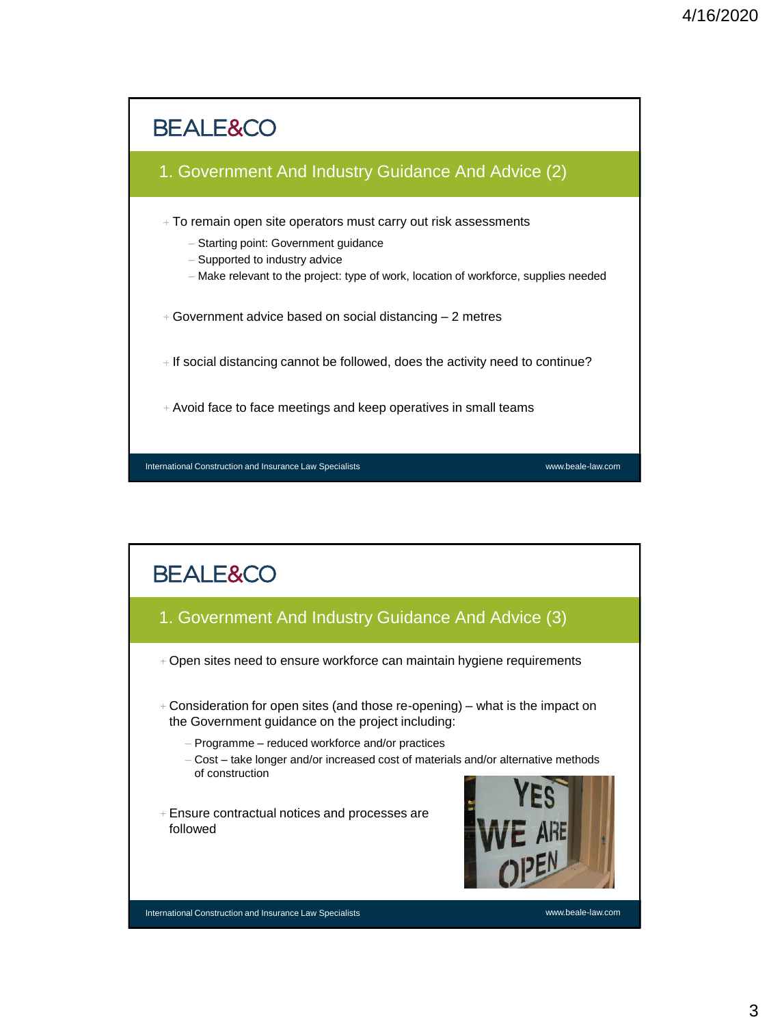

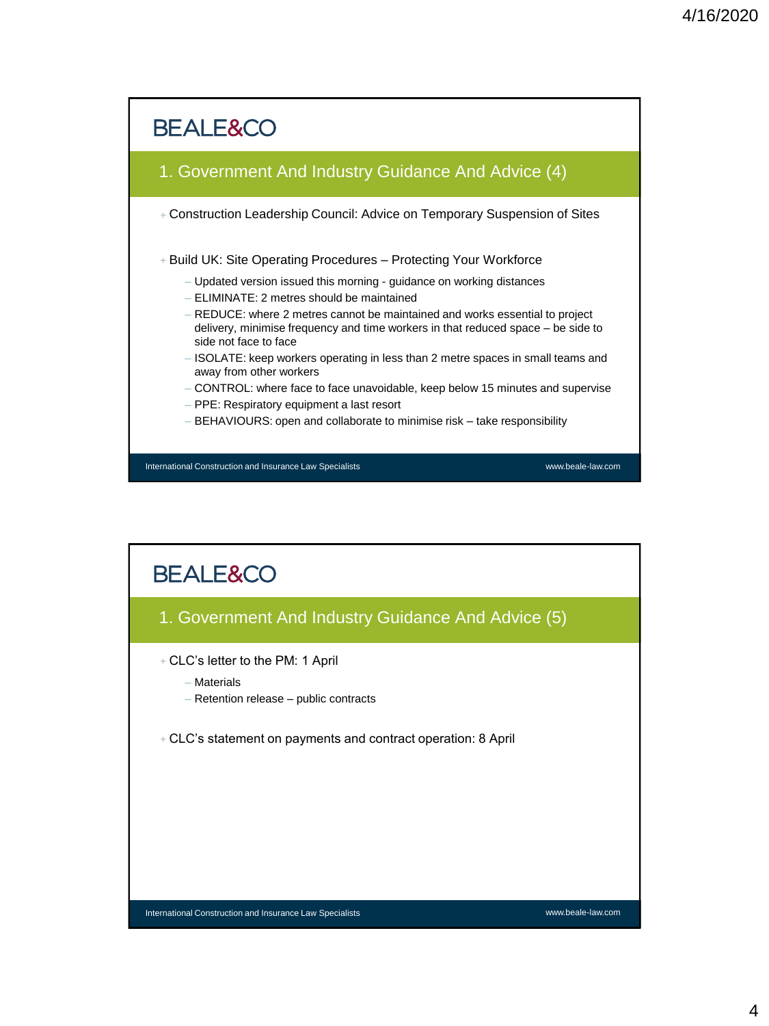

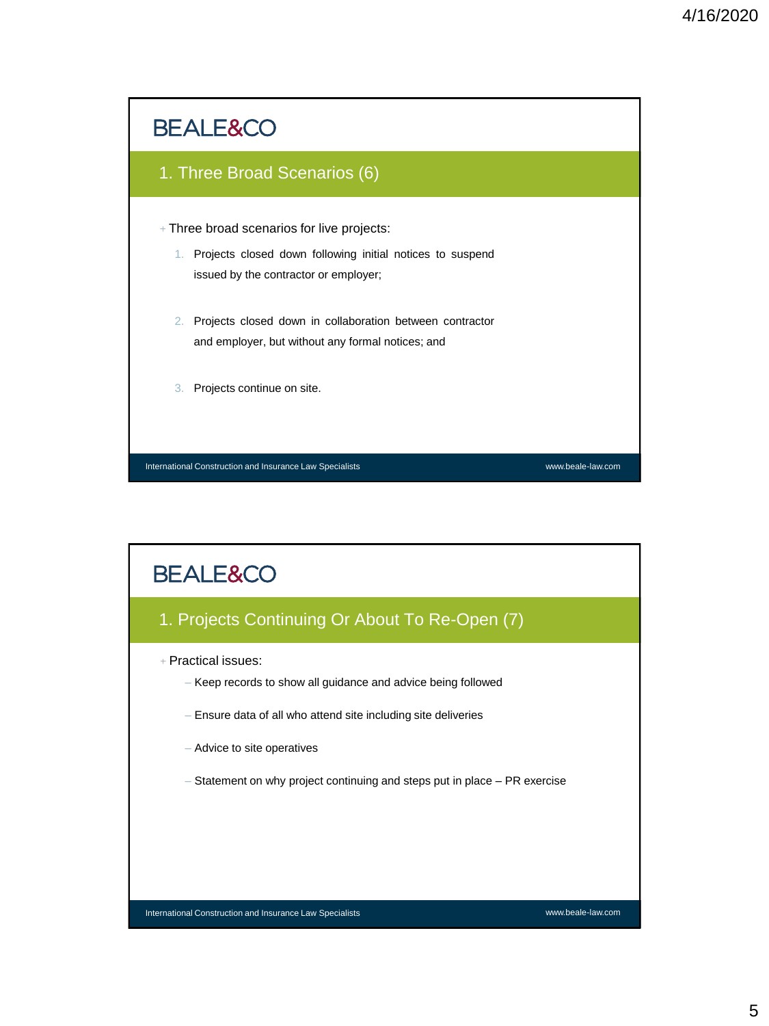

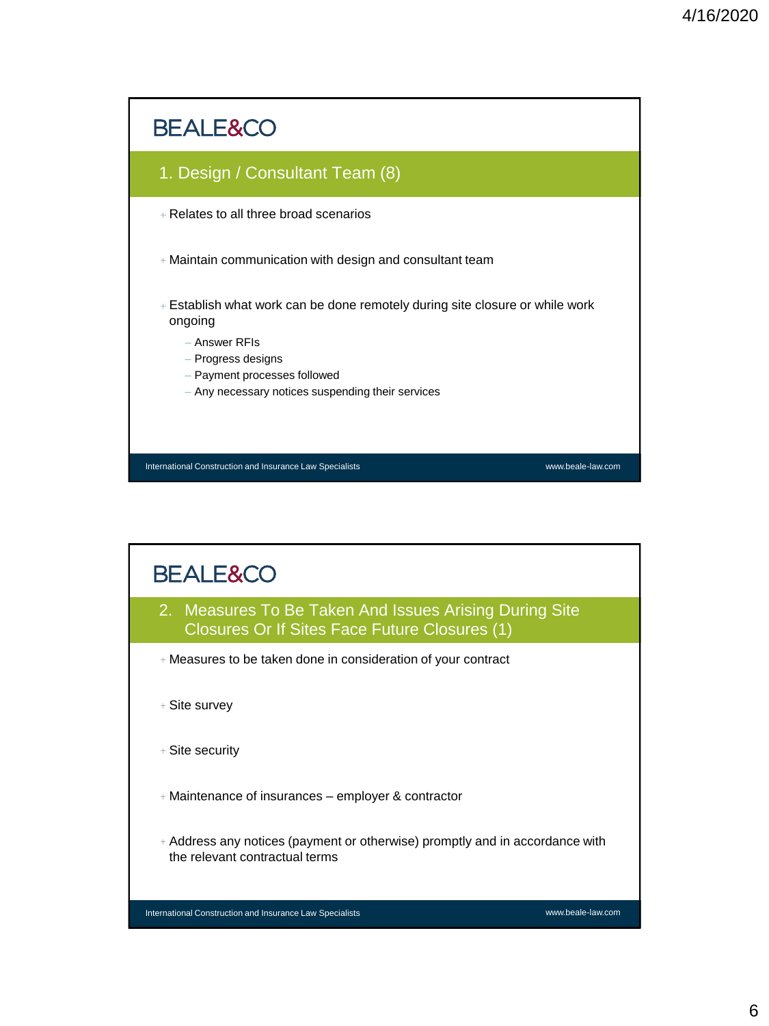

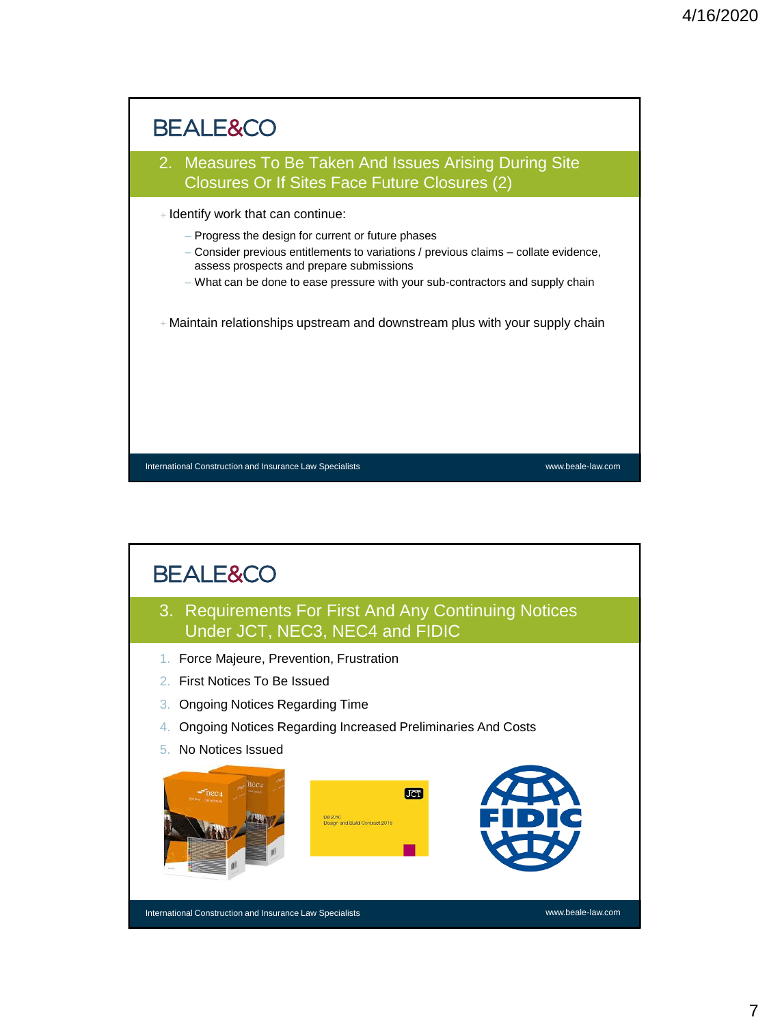



7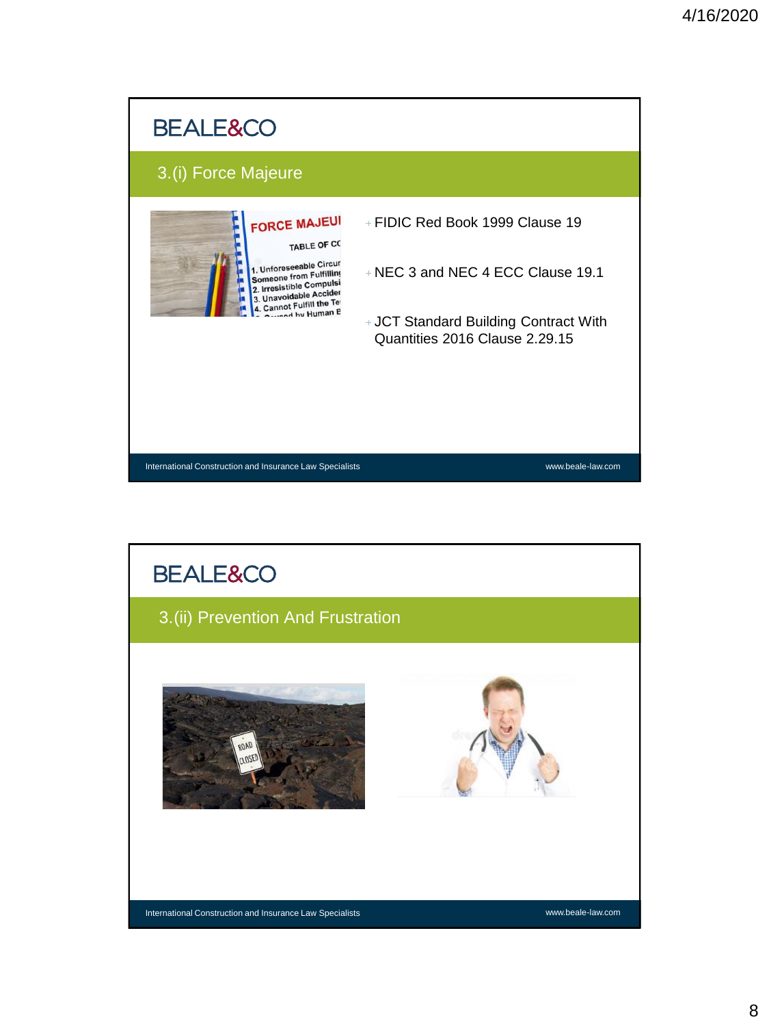

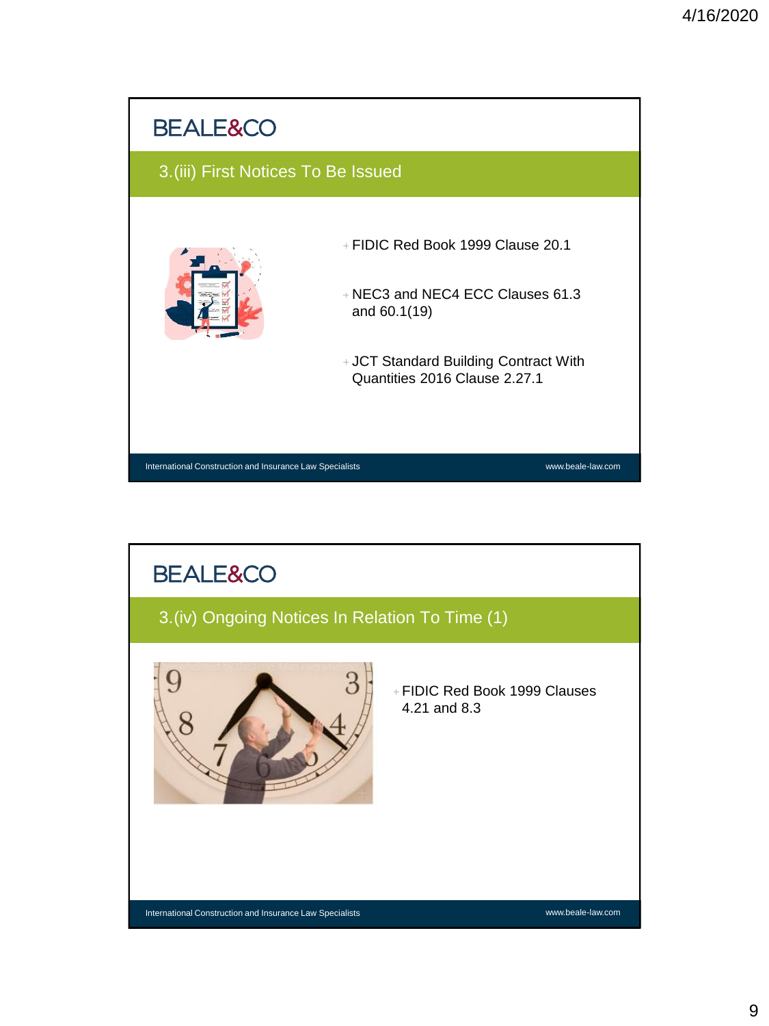

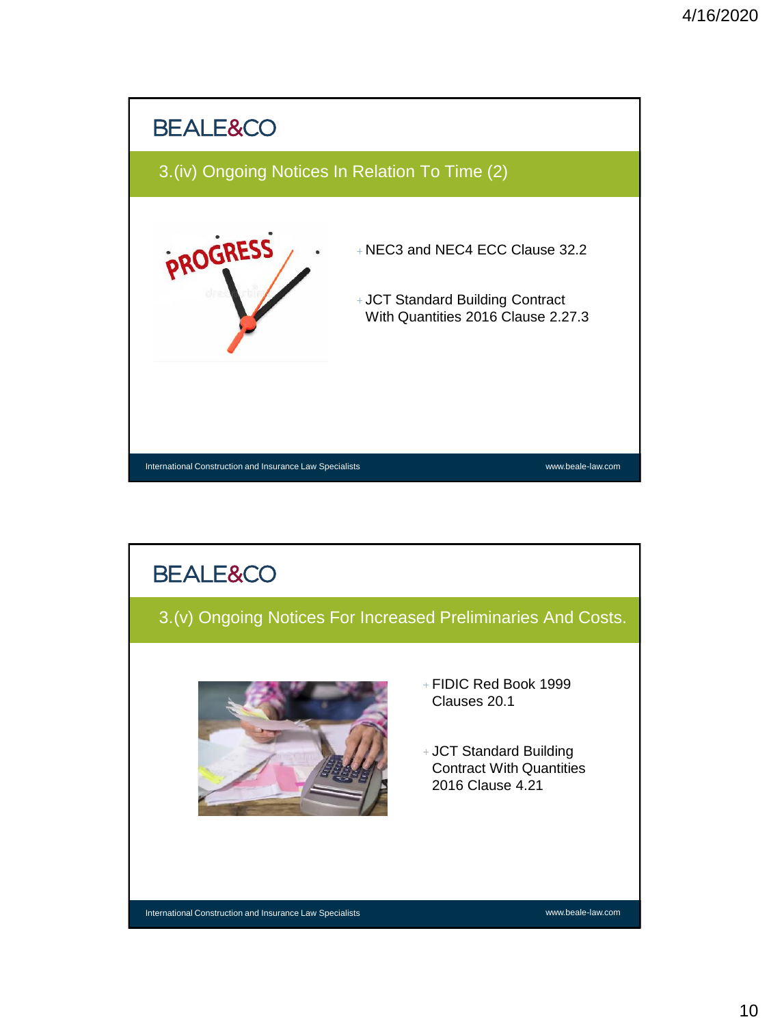

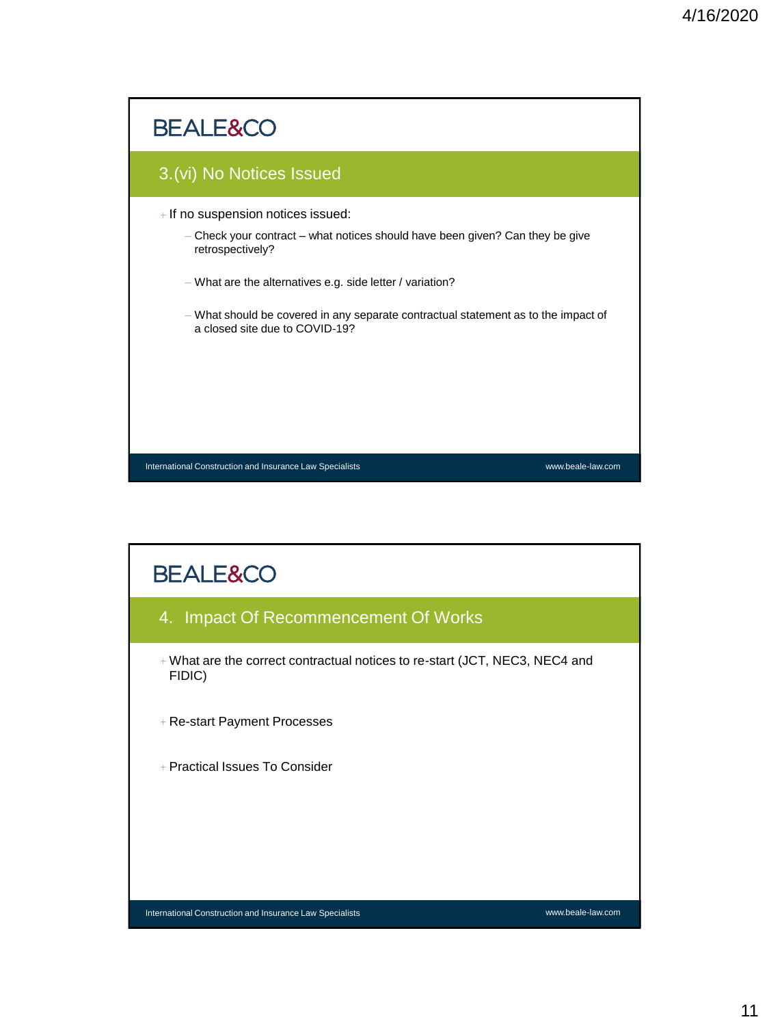

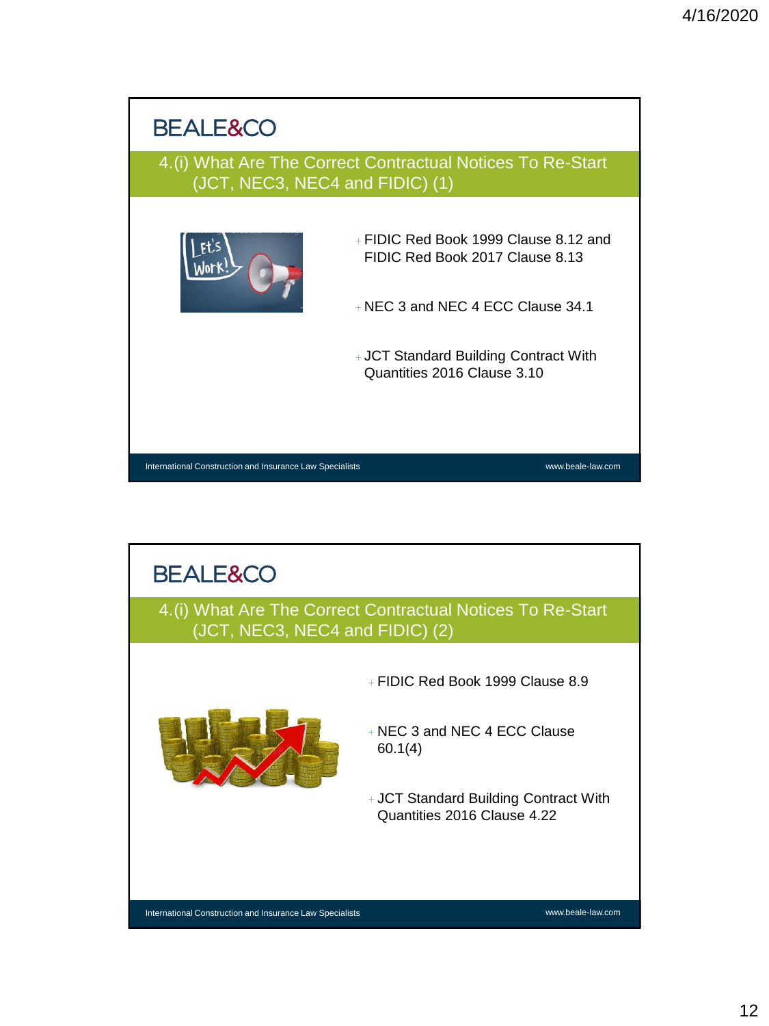

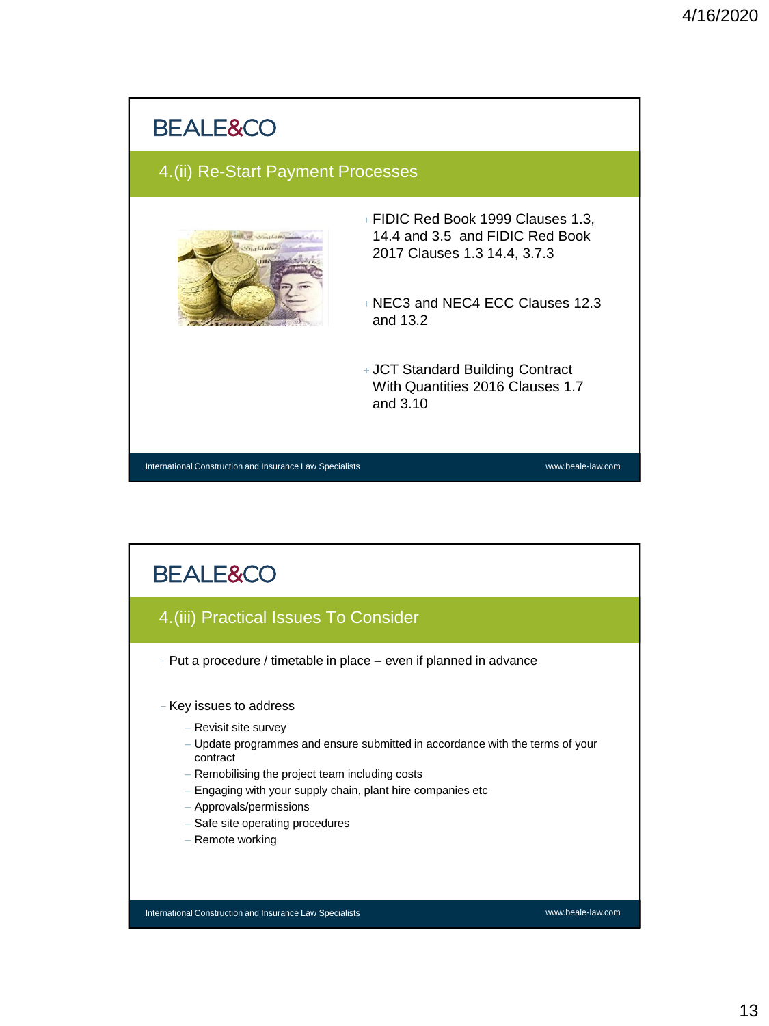## **BEALE&CO** 4.(ii) Re-Start Payment Processes FIDIC Red Book 1999 Clauses 1.3, 14.4 and 3.5 and FIDIC Red Book 2017 Clauses 1.3 14.4, 3.7.3 NEC3 and NEC4 ECC Clauses 12.3 and 13.2 JCT Standard Building Contract With Quantities 2016 Clauses 1.7 and 3.10 25 International Construction and Insurance Law Specialists www.beale-law.com

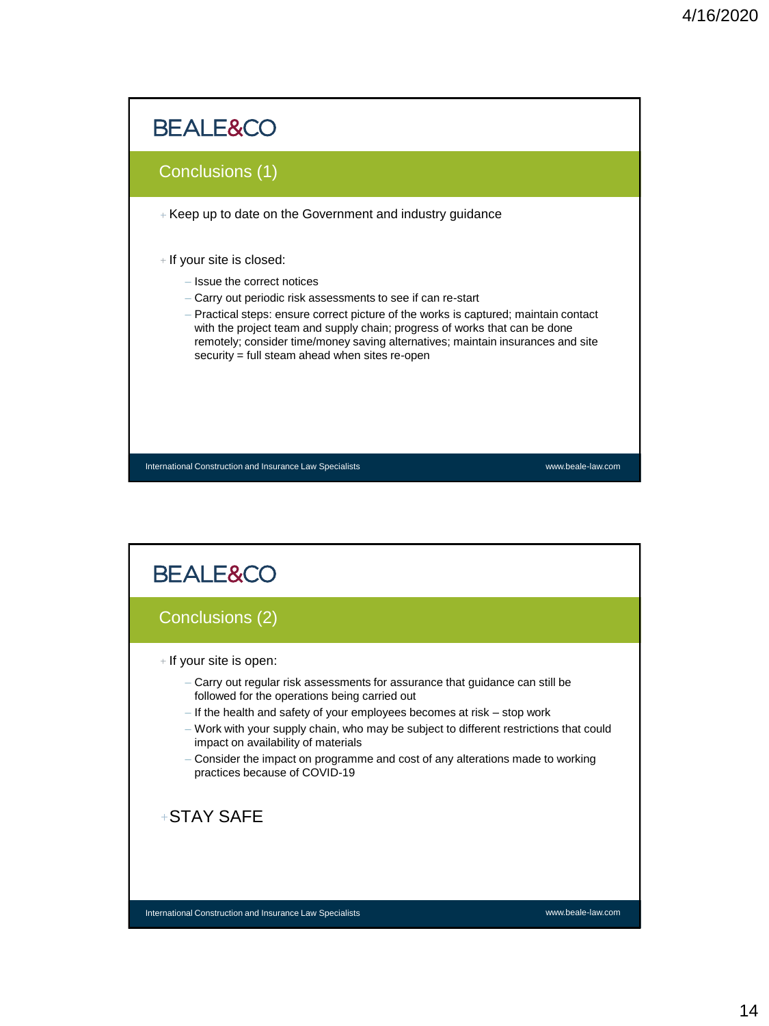